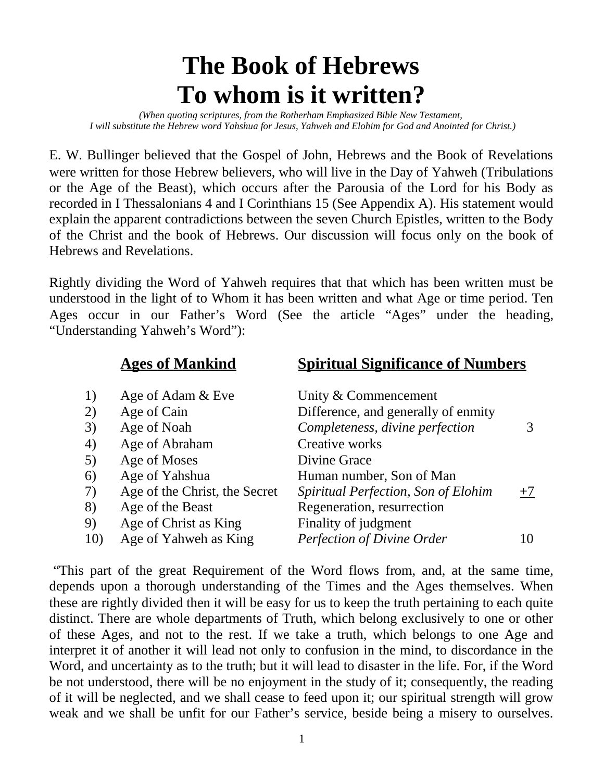# **The Book of Hebrews To whom is it written?**

*(When quoting scriptures, from the Rotherham Emphasized Bible New Testament, I will substitute the Hebrew word Yahshua for Jesus, Yahweh and Elohim for God and Anointed for Christ.)*

E. W. Bullinger believed that the Gospel of John, Hebrews and the Book of Revelations were written for those Hebrew believers, who will live in the Day of Yahweh (Tribulations or the Age of the Beast), which occurs after the Parousia of the Lord for his Body as recorded in I Thessalonians 4 and I Corinthians 15 (See Appendix A). His statement would explain the apparent contradictions between the seven Church Epistles, written to the Body of the Christ and the book of Hebrews. Our discussion will focus only on the book of Hebrews and Revelations.

Rightly dividing the Word of Yahweh requires that that which has been written must be understood in the light of to Whom it has been written and what Age or time period. Ten Ages occur in our Father's Word (See the article "Ages" under the heading, "Understanding Yahweh's Word"):

|     | <b>Ages of Mankind</b>        | <b>Spiritual Significance of Numbers</b> |      |
|-----|-------------------------------|------------------------------------------|------|
| 1)  | Age of Adam & Eve             | Unity & Commencement                     |      |
| 2)  | Age of Cain                   | Difference, and generally of enmity      |      |
| 3)  | Age of Noah                   | Completeness, divine perfection          |      |
| 4)  | Age of Abraham                | Creative works                           |      |
| 5)  | Age of Moses                  | Divine Grace                             |      |
| 6)  | Age of Yahshua                | Human number, Son of Man                 |      |
| 7)  | Age of the Christ, the Secret | Spiritual Perfection, Son of Elohim      | $+7$ |
| 8)  | Age of the Beast              | Regeneration, resurrection               |      |
| 9)  | Age of Christ as King         | Finality of judgment                     |      |
| 10) | Age of Yahweh as King         | Perfection of Divine Order               | 10   |

"This part of the great Requirement of the Word flows from, and, at the same time, depends upon a thorough understanding of the Times and the Ages themselves. When these are rightly divided then it will be easy for us to keep the truth pertaining to each quite distinct. There are whole departments of Truth, which belong exclusively to one or other of these Ages, and not to the rest. If we take a truth, which belongs to one Age and interpret it of another it will lead not only to confusion in the mind, to discordance in the Word, and uncertainty as to the truth; but it will lead to disaster in the life. For, if the Word be not understood, there will be no enjoyment in the study of it; consequently, the reading of it will be neglected, and we shall cease to feed upon it; our spiritual strength will grow weak and we shall be unfit for our Father's service, beside being a misery to ourselves.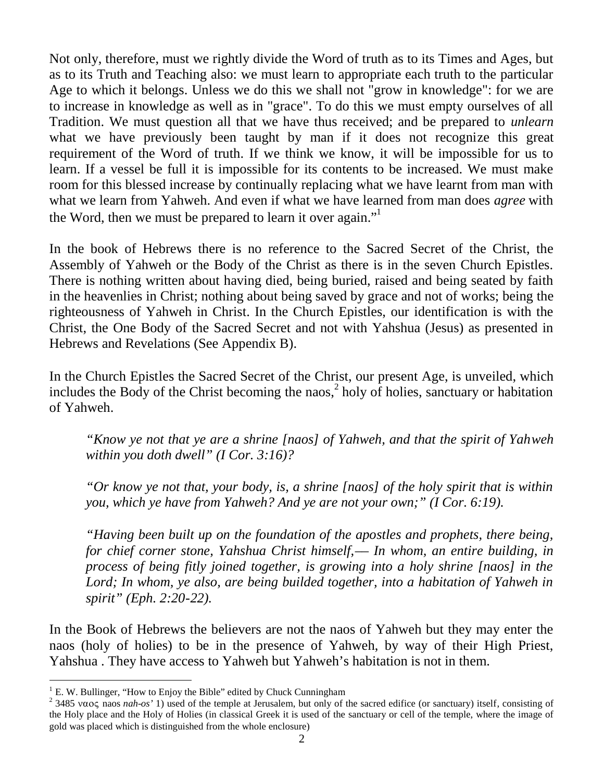Not only, therefore, must we rightly divide the Word of truth as to its Times and Ages, but as to its Truth and Teaching also: we must learn to appropriate each truth to the particular Age to which it belongs. Unless we do this we shall not "grow in knowledge": for we are to increase in knowledge as well as in "grace". To do this we must empty ourselves of all Tradition. We must question all that we have thus received; and be prepared to *unlearn* what we have previously been taught by man if it does not recognize this great requirement of the Word of truth. If we think we know, it will be impossible for us to learn. If a vessel be full it is impossible for its contents to be increased. We must make room for this blessed increase by continually replacing what we have learnt from man with what we learn from Yahweh. And even if what we have learned from man does *agree* with the Word, then we must be prepared to learn it over again."

In the book of Hebrews there is no reference to the Sacred Secret of the Christ, the Assembly of Yahweh or the Body of the Christ as there is in the seven Church Epistles. There is nothing written about having died, being buried, raised and being seated by faith in the heavenlies in Christ; nothing about being saved by grace and not of works; being the righteousness of Yahweh in Christ. In the Church Epistles, our identification is with the Christ, the One Body of the Sacred Secret and not with Yahshua (Jesus) as presented in Hebrews and Revelations (See Appendix B).

In the Church Epistles the Sacred Secret of the Christ, our present Age, is unveiled, which includesthe Body of the Christ becoming the naos,<sup>2</sup> holy of holies, sanctuary or habitation of Yahweh.

*"Know ye not that ye are a shrine [naos] of Yahweh, and that the spirit of Yahweh within you doth dwell" (I Cor. 3:16)?*

*"Or know ye not that, your body, is, a shrine [naos] of the holy spirit that is within you, which ye have from Yahweh? And ye are not your own;" (I Cor. 6:19).*

*"Having been built up on the foundation of the apostles and prophets, there being, for chief corner stone, Yahshua Christ himself,–– In whom, an entire building, in process of being fitly joined together, is growing into a holy shrine [naos] in the Lord; In whom, ye also, are being builded together, into a habitation of Yahweh in spirit" (Eph. 2:20-22).*

In the Book of Hebrews the believers are not the naos of Yahweh but they may enter the naos (holy of holies) to be in the presence of Yahweh, by way of their High Priest, Yahshua . They have access to Yahweh but Yahweh's habitation is not in them.

<span id="page-1-1"></span><span id="page-1-0"></span> $1 E.$  W. Bullinger, "How to Enjoy the Bible" edited by Chuck Cunningham

<sup>&</sup>lt;sup>2</sup> 3485  $\nu$ aos *nah-os'* 1) used of the temple at Jerusalem, but only of the sacred edifice (or sanctuary) itself, consisting of the Holy place and the Holy of Holies (in classical Greek it is used of the sanctuary or cell of the temple, where the image of gold was placed which is distinguished from the whole enclosure)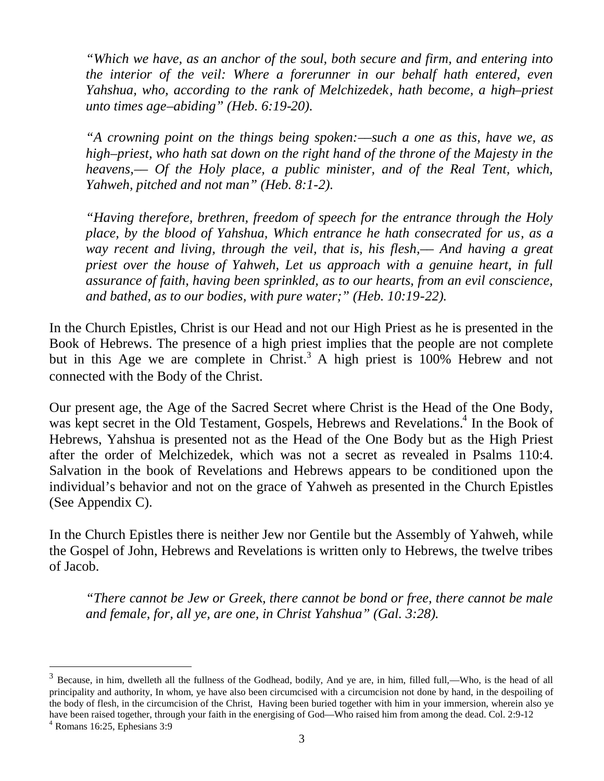*"Which we have, as an anchor of the soul, both secure and firm, and entering into the interior of the veil: Where a forerunner in our behalf hath entered, even Yahshua, who, according to the rank of Melchizedek, hath become, a high–priest unto times age–abiding" (Heb. 6:19-20).*

*"A crowning point on the things being spoken:––such a one as this, have we, as high–priest, who hath sat down on the right hand of the throne of the Majesty in the heavens,–– Of the Holy place, a public minister, and of the Real Tent, which, Yahweh, pitched and not man" (Heb. 8:1-2).*

*"Having therefore, brethren, freedom of speech for the entrance through the Holy place, by the blood of Yahshua, Which entrance he hath consecrated for us, as a way recent and living, through the veil, that is, his flesh,–– And having a great priest over the house of Yahweh, Let us approach with a genuine heart, in full assurance of faith, having been sprinkled, as to our hearts, from an evil conscience, and bathed, as to our bodies, with pure water;" (Heb. 10:19-22).*

In the Church Epistles, Christ is our Head and not our High Priest as he is presented in the Book of Hebrews. The presence of a high priest implies that the people are not complete but in this Age we are complete in Christ.<sup>[3](#page-2-0)</sup> A high priest is  $100\%$  Hebrew and not connected with the Body of the Christ.

Our present age, the Age of the Sacred Secret where Christ is the Head of the One Body, was kept secret in the Old Testament, Gospels, Hebrews and Revelations.<sup>[4](#page-2-1)</sup> In the Book of Hebrews, Yahshua is presented not as the Head of the One Body but as the High Priest after the order of Melchizedek, which was not a secret as revealed in Psalms 110:4. Salvation in the book of Revelations and Hebrews appears to be conditioned upon the individual's behavior and not on the grace of Yahweh as presented in the Church Epistles (See Appendix C).

In the Church Epistles there is neither Jew nor Gentile but the Assembly of Yahweh, while the Gospel of John, Hebrews and Revelations is written only to Hebrews, the twelve tribes of Jacob.

*"There cannot be Jew or Greek, there cannot be bond or free, there cannot be male and female, for, all ye, are one, in Christ Yahshua" (Gal. 3:28).*

<span id="page-2-0"></span> $3$  Because, in him, dwelleth all the fullness of the Godhead, bodily, And ye are, in him, filled full,—Who, is the head of all principality and authority, In whom, ye have also been circumcised with a circumcision not done by hand, in the despoiling of the body of flesh, in the circumcision of the Christ, Having been buried together with him in your immersion, wherein also ye have been raised together, through your faith in the energising of God––Who raised him from among the dead. Col. 2:9-12

<span id="page-2-1"></span><sup>4</sup> Romans 16:25, Ephesians 3:9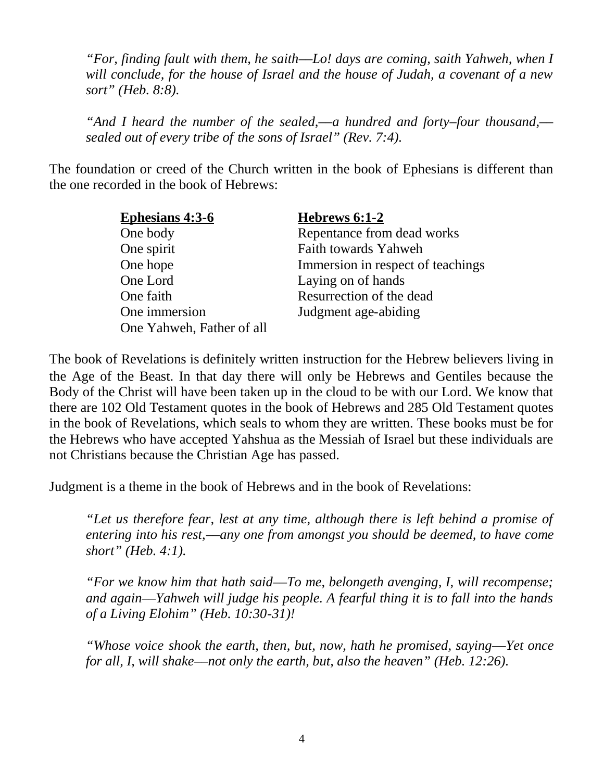*"For, finding fault with them, he saith––Lo! days are coming, saith Yahweh, when I will conclude, for the house of Israel and the house of Judah, a covenant of a new sort" (Heb. 8:8).*

*"And I heard the number of the sealed,––a hundred and forty–four thousand,–– sealed out of every tribe of the sons of Israel" (Rev. 7:4).*

The foundation or creed of the Church written in the book of Ephesians is different than the one recorded in the book of Hebrews:

| <b>Ephesians 4:3-6</b>    | <b>Hebrews 6:1-2</b>              |  |
|---------------------------|-----------------------------------|--|
| One body                  | Repentance from dead works        |  |
| One spirit                | Faith towards Yahweh              |  |
| One hope                  | Immersion in respect of teachings |  |
| One Lord                  | Laying on of hands                |  |
| One faith                 | Resurrection of the dead          |  |
| One immersion             | Judgment age-abiding              |  |
| One Yahweh, Father of all |                                   |  |

The book of Revelations is definitely written instruction for the Hebrew believers living in the Age of the Beast. In that day there will only be Hebrews and Gentiles because the Body of the Christ will have been taken up in the cloud to be with our Lord. We know that there are 102 Old Testament quotes in the book of Hebrews and 285 Old Testament quotes in the book of Revelations, which seals to whom they are written. These books must be for the Hebrews who have accepted Yahshua as the Messiah of Israel but these individuals are not Christians because the Christian Age has passed.

Judgment is a theme in the book of Hebrews and in the book of Revelations:

*"Let us therefore fear, lest at any time, although there is left behind a promise of entering into his rest,––any one from amongst you should be deemed, to have come short" (Heb. 4:1).*

*"For we know him that hath said––To me, belongeth avenging, I, will recompense; and again––Yahweh will judge his people. A fearful thing it is to fall into the hands of a Living Elohim" (Heb. 10:30-31)!*

*"Whose voice shook the earth, then, but, now, hath he promised, saying––Yet once for all, I, will shake––not only the earth, but, also the heaven" (Heb. 12:26).*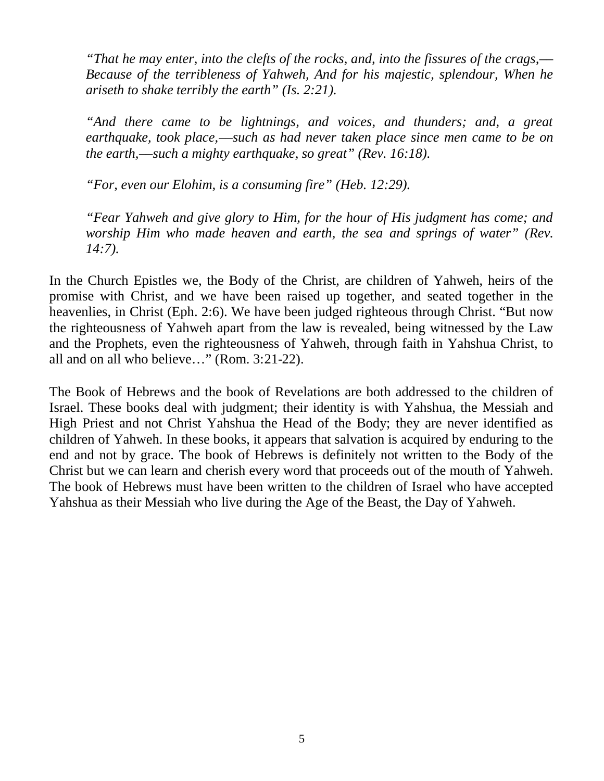*"That he may enter, into the clefts of the rocks, and, into the fissures of the crags,–– Because of the terribleness of Yahweh, And for his majestic, splendour, When he ariseth to shake terribly the earth" (Is. 2:21).*

*"And there came to be lightnings, and voices, and thunders; and, a great earthquake, took place,––such as had never taken place since men came to be on the earth,––such a mighty earthquake, so great" (Rev. 16:18).*

*"For, even our Elohim, is a consuming fire" (Heb. 12:29).*

*"Fear Yahweh and give glory to Him, for the hour of His judgment has come; and worship Him who made heaven and earth, the sea and springs of water" (Rev. 14:7).*

In the Church Epistles we, the Body of the Christ, are children of Yahweh, heirs of the promise with Christ, and we have been raised up together, and seated together in the heavenlies, in Christ (Eph. 2:6). We have been judged righteous through Christ. "But now the righteousness of Yahweh apart from the law is revealed, being witnessed by the Law and the Prophets, even the righteousness of Yahweh, through faith in Yahshua Christ, to all and on all who believe…" (Rom. 3:21-22).

The Book of Hebrews and the book of Revelations are both addressed to the children of Israel. These books deal with judgment; their identity is with Yahshua, the Messiah and High Priest and not Christ Yahshua the Head of the Body; they are never identified as children of Yahweh. In these books, it appears that salvation is acquired by enduring to the end and not by grace. The book of Hebrews is definitely not written to the Body of the Christ but we can learn and cherish every word that proceeds out of the mouth of Yahweh. The book of Hebrews must have been written to the children of Israel who have accepted Yahshua as their Messiah who live during the Age of the Beast, the Day of Yahweh.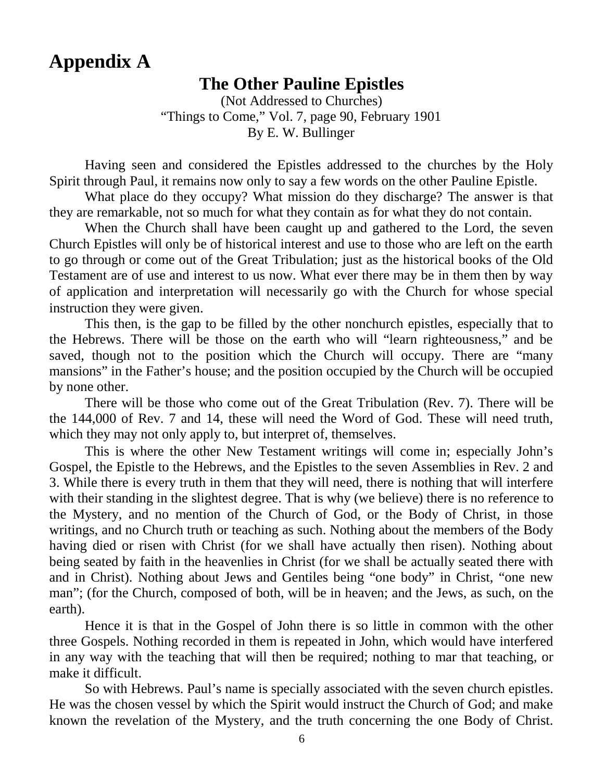## **Appendix A**

### **The Other Pauline Epistles**

(Not Addressed to Churches) "Things to Come," Vol. 7, page 90, February 1901 By E. W. Bullinger

Having seen and considered the Epistles addressed to the churches by the Holy Spirit through Paul, it remains now only to say a few words on the other Pauline Epistle.

What place do they occupy? What mission do they discharge? The answer is that they are remarkable, not so much for what they contain as for what they do not contain.

When the Church shall have been caught up and gathered to the Lord, the seven Church Epistles will only be of historical interest and use to those who are left on the earth to go through or come out of the Great Tribulation; just as the historical books of the Old Testament are of use and interest to us now. What ever there may be in them then by way of application and interpretation will necessarily go with the Church for whose special instruction they were given.

This then, is the gap to be filled by the other nonchurch epistles, especially that to the Hebrews. There will be those on the earth who will "learn righteousness," and be saved, though not to the position which the Church will occupy. There are "many mansions" in the Father's house; and the position occupied by the Church will be occupied by none other.

There will be those who come out of the Great Tribulation (Rev. 7). There will be the 144,000 of Rev. 7 and 14, these will need the Word of God. These will need truth, which they may not only apply to, but interpret of, themselves.

This is where the other New Testament writings will come in; especially John's Gospel, the Epistle to the Hebrews, and the Epistles to the seven Assemblies in Rev. 2 and 3. While there is every truth in them that they will need, there is nothing that will interfere with their standing in the slightest degree. That is why (we believe) there is no reference to the Mystery, and no mention of the Church of God, or the Body of Christ, in those writings, and no Church truth or teaching as such. Nothing about the members of the Body having died or risen with Christ (for we shall have actually then risen). Nothing about being seated by faith in the heavenlies in Christ (for we shall be actually seated there with and in Christ). Nothing about Jews and Gentiles being "one body" in Christ, "one new man"; (for the Church, composed of both, will be in heaven; and the Jews, as such, on the earth).

Hence it is that in the Gospel of John there is so little in common with the other three Gospels. Nothing recorded in them is repeated in John, which would have interfered in any way with the teaching that will then be required; nothing to mar that teaching, or make it difficult.

So with Hebrews. Paul's name is specially associated with the seven church epistles. He was the chosen vessel by which the Spirit would instruct the Church of God; and make known the revelation of the Mystery, and the truth concerning the one Body of Christ.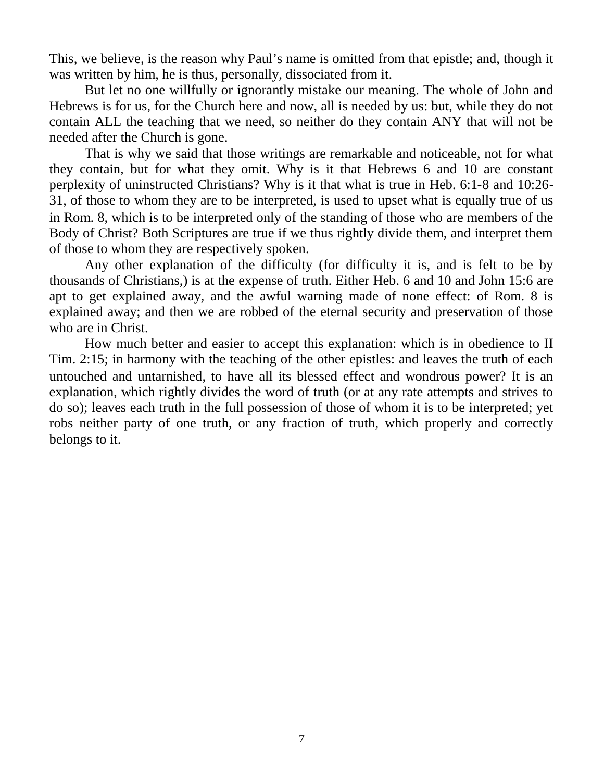This, we believe, is the reason why Paul's name is omitted from that epistle; and, though it was written by him, he is thus, personally, dissociated from it.

But let no one willfully or ignorantly mistake our meaning. The whole of John and Hebrews is for us, for the Church here and now, all is needed by us: but, while they do not contain ALL the teaching that we need, so neither do they contain ANY that will not be needed after the Church is gone.

That is why we said that those writings are remarkable and noticeable, not for what they contain, but for what they omit. Why is it that Hebrews 6 and 10 are constant perplexity of uninstructed Christians? Why is it that what is true in Heb. 6:1-8 and 10:26- 31, of those to whom they are to be interpreted, is used to upset what is equally true of us in Rom. 8, which is to be interpreted only of the standing of those who are members of the Body of Christ? Both Scriptures are true if we thus rightly divide them, and interpret them of those to whom they are respectively spoken.

Any other explanation of the difficulty (for difficulty it is, and is felt to be by thousands of Christians,) is at the expense of truth. Either Heb. 6 and 10 and John 15:6 are apt to get explained away, and the awful warning made of none effect: of Rom. 8 is explained away; and then we are robbed of the eternal security and preservation of those who are in Christ.

How much better and easier to accept this explanation: which is in obedience to II Tim. 2:15; in harmony with the teaching of the other epistles: and leaves the truth of each untouched and untarnished, to have all its blessed effect and wondrous power? It is an explanation, which rightly divides the word of truth (or at any rate attempts and strives to do so); leaves each truth in the full possession of those of whom it is to be interpreted; yet robs neither party of one truth, or any fraction of truth, which properly and correctly belongs to it.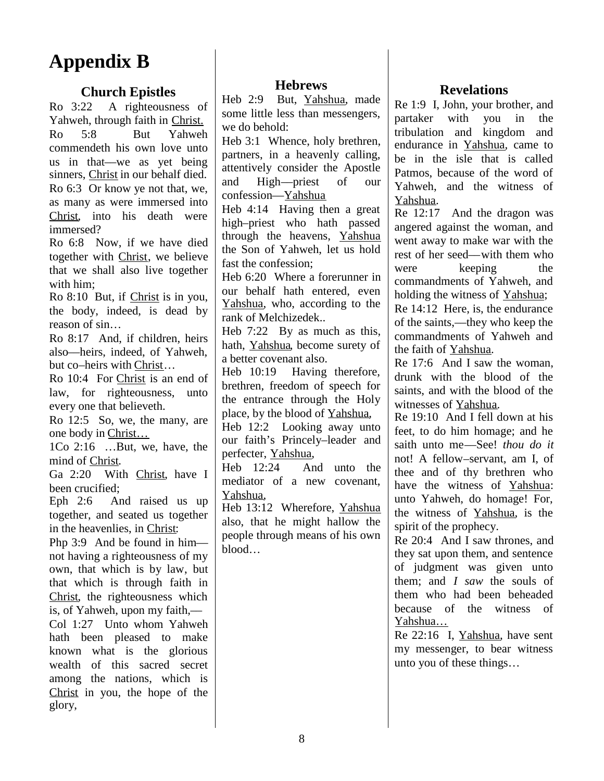# **Appendix B**

#### **Church Epistles**

Ro 3:22 A righteousness of Yahweh, through faith in Christ. Ro 5:8 But Yahweh commendeth his own love unto us in that––we as yet being sinners, Christ in our behalf died. Ro 6:3 Or know ye not that, we,  $\begin{bmatrix} \n\text{and} \\ \n\end{bmatrix}$ as many as were immersed into Christ, into his death were immersed?

Ro 6:8 Now, if we have died together with Christ, we believe that we shall also live together with him;

Ro 8:10 But, if Christ is in you, the body, indeed, is dead by reason of sin…

Ro 8:17 And, if children, heirs also––heirs, indeed, of Yahweh, but co–heirs with Christ…

Ro 10:4 For Christ is an end of law, for righteousness, unto every one that believeth.

Ro 12:5 So, we, the many, are one body in Christ…

1Co 2:16 …But, we, have, the mind of Christ.

Ga 2:20 With Christ, have I Heb  $12:24$ been crucified;

Eph 2:6 And raised us up together, and seated us together in the heavenlies, in Christ:

Php 3:9 And be found in himnot having a righteousness of my own, that which is by law, but that which is through faith in Christ, the righteousness which is, of Yahweh, upon my faith,–– Col 1:27 Unto whom Yahweh hath been pleased to make known what is the glorious wealth of this sacred secret among the nations, which is Christ in you, the hope of the glory,

#### **Hebrews**

Heb 2:9 But, Yahshua, made some little less than messengers, we do behold:

Heb 3:1 Whence, holy brethren, partners, in a heavenly calling, attentively consider the Apostle High—priest of our confession––Yahshua

Heb 4:14 Having then a great high–priest who hath passed through the heavens, Yahshua the Son of Yahweh, let us hold fast the confession;

Heb 6:20 Where a forerunner in our behalf hath entered, even Yahshua, who, according to the rank of Melchizedek..

Heb 7:22 By as much as this, hath, Yahshua, become surety of a better covenant also.

Heb 10:19 Having therefore, brethren, freedom of speech for the entrance through the Holy place, by the blood of Yahshua,

Heb 12:2 Looking away unto our faith's Princely–leader and perfecter, Yahshua,

And unto the mediator of a new covenant, Yahshua,

Heb 13:12 Wherefore, Yahshua also, that he might hallow the people through means of his own blood…

#### **Revelations**

Re 1:9 I, John, your brother, and partaker with you in the tribulation and kingdom and endurance in Yahshua, came to be in the isle that is called Patmos, because of the word of Yahweh, and the witness of Yahshua.

Re 12:17 And the dragon was angered against the woman, and went away to make war with the rest of her seed––with them who were keeping the commandments of Yahweh, and holding the witness of Yahshua;

Re 14:12 Here, is, the endurance of the saints,––they who keep the commandments of Yahweh and the faith of Yahshua.

Re 17:6 And I saw the woman, drunk with the blood of the saints, and with the blood of the witnesses of Yahshua.

Re 19:10 And I fell down at his feet, to do him homage; and he saith unto me––See! *thou do it* not! A fellow–servant, am I, of thee and of thy brethren who have the witness of Yahshua: unto Yahweh, do homage! For, the witness of Yahshua, is the spirit of the prophecy.

Re 20:4 And I saw thrones, and they sat upon them, and sentence of judgment was given unto them; and *I saw* the souls of them who had been beheaded because of the witness of Yahshua…

Re 22:16 I, Yahshua, have sent my messenger, to bear witness unto you of these things…